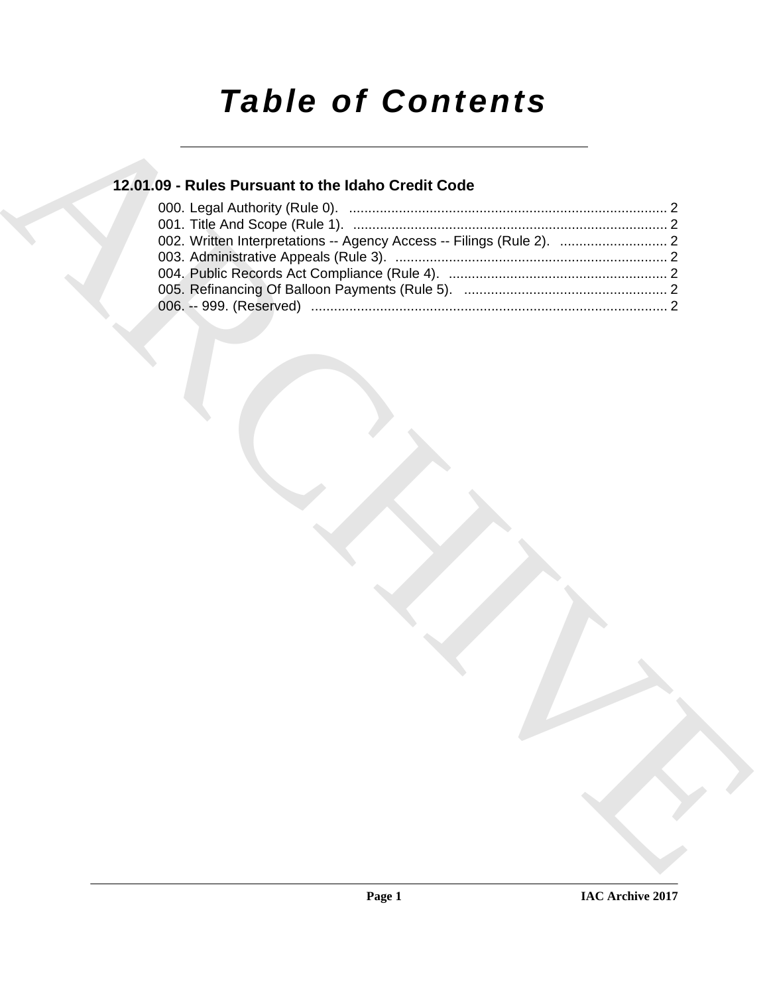# *Table of Contents*

### **12.01.09 - Rules Pursuant to the Idaho Credit Code**

| 12.01.09 - Rules Pursuant to the Idaho Credit Code                    |  |
|-----------------------------------------------------------------------|--|
|                                                                       |  |
|                                                                       |  |
| 002. Written Interpretations -- Agency Access -- Filings (Rule 2).  2 |  |
|                                                                       |  |
|                                                                       |  |
|                                                                       |  |
|                                                                       |  |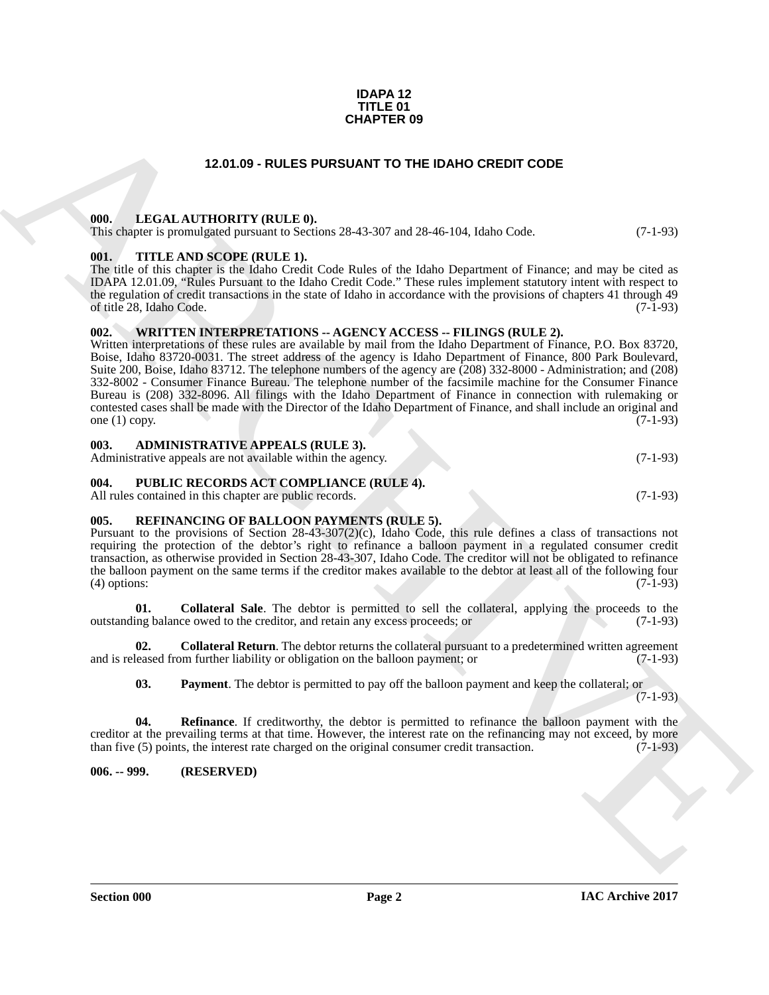#### **IDAPA 12 TITLE 01 CHAPTER 09**

#### **12.01.09 - RULES PURSUANT TO THE IDAHO CREDIT CODE**

#### <span id="page-1-1"></span><span id="page-1-0"></span>**000. LEGAL AUTHORITY (RULE 0).**

This chapter is promulgated pursuant to Sections 28-43-307 and 28-46-104, Idaho Code. (7-1-93)

#### <span id="page-1-2"></span>**001. TITLE AND SCOPE (RULE 1).**

The title of this chapter is the Idaho Credit Code Rules of the Idaho Department of Finance; and may be cited as IDAPA 12.01.09, "Rules Pursuant to the Idaho Credit Code." These rules implement statutory intent with respect to the regulation of credit transactions in the state of Idaho in accordance with the provisions of chapters 41 through 49 of title 28, Idaho Code. (7-1-93)

#### <span id="page-1-3"></span>**002. WRITTEN INTERPRETATIONS -- AGENCY ACCESS -- FILINGS (RULE 2).**

**CHAPTER OF**<br> **CHARCHIVE CONFIDENT (RULE)**<br> **CHARCHIVE CONFIDENT (RULE)**<br> **CHARCHIVE CONFIDENT (RULE)**<br> **CHARCHIVE CONFIDENT (RULE)**<br> **CHARCHIVE CONFIDENT (RULE)**<br> **CHARCHITEE CONFIDENT (RULE)**<br> **CHARCHITEE CONFIDENT (RUL** Written interpretations of these rules are available by mail from the Idaho Department of Finance, P.O. Box 83720, Boise, Idaho 83720-0031. The street address of the agency is Idaho Department of Finance, 800 Park Boulevard, Suite 200, Boise, Idaho 83712. The telephone numbers of the agency are (208) 332-8000 - Administration; and (208) 332-8002 - Consumer Finance Bureau. The telephone number of the facsimile machine for the Consumer Finance Bureau is (208) 332-8096. All filings with the Idaho Department of Finance in connection with rulemaking or contested cases shall be made with the Director of the Idaho Department of Finance, and shall include an original and one (1) copy.  $(7-1-93)$ 

#### <span id="page-1-4"></span>**003. ADMINISTRATIVE APPEALS (RULE 3).**

| Administrative appeals are not available within the agency. |  | $(7-1-93)$ |
|-------------------------------------------------------------|--|------------|
|                                                             |  |            |

#### <span id="page-1-5"></span>**004. PUBLIC RECORDS ACT COMPLIANCE (RULE 4).**

All rules contained in this chapter are public records. (7-1-93)

#### <span id="page-1-8"></span><span id="page-1-6"></span>**005. REFINANCING OF BALLOON PAYMENTS (RULE 5).**

Pursuant to the provisions of Section 28-43-307(2)(c), Idaho Code, this rule defines a class of transactions not requiring the protection of the debtor's right to refinance a balloon payment in a regulated consumer credit transaction, as otherwise provided in Section 28-43-307, Idaho Code. The creditor will not be obligated to refinance the balloon payment on the same terms if the creditor makes available to the debtor at least all of the following four (4) options: (7-1-93)

<span id="page-1-10"></span>**01. Collateral Sale**. The debtor is permitted to sell the collateral, applying the proceeds to the outstanding balance owed to the creditor, and retain any excess proceeds; or (7-1-93)

**02. Collateral Return**. The debtor returns the collateral pursuant to a predetermined written agreement and is released from further liability or obligation on the balloon payment; or (7-1-93)

<span id="page-1-12"></span><span id="page-1-11"></span><span id="page-1-9"></span>**03. Payment**. The debtor is permitted to pay off the balloon payment and keep the collateral; or

 $(7-1-93)$ 

**04. Refinance**. If creditworthy, the debtor is permitted to refinance the balloon payment with the creditor at the prevailing terms at that time. However, the interest rate on the refinancing may not exceed, by more than five (5) points, the interest rate charged on the original consumer credit transaction. (7-1-93) than five  $(5)$  points, the interest rate charged on the original consumer credit transaction.

<span id="page-1-7"></span>**006. -- 999. (RESERVED)**